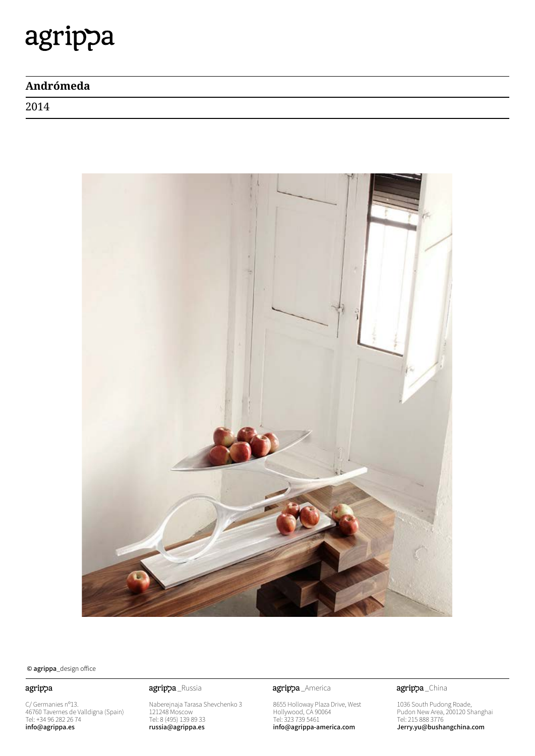# agrippa

### **Andrómeda**

2014



© agrippa\_design office

### agrippa

C/ Germanies nº13. 46760 Tavernes de Valldigna (Spain) Tel: +34 96 282 26 74 info@agrippa.es

Naberejnaja Tarasa Shevchenko 3 121248 Moscow Tel: 8 (495) 139 89 33 russia@agrippa.es

agrippa\_Russia **agrippa**\_America

8655 Holloway Plaza Drive, West Hollywood, CA 90064 Tel: 323 739 5461 info@agrippa-america.com

agrippa\_China

1036 South Pudong Roade, Pudon New Area, 200120 Shanghai Tel: 215 888 3776 Jerry.yu@bushangchina.com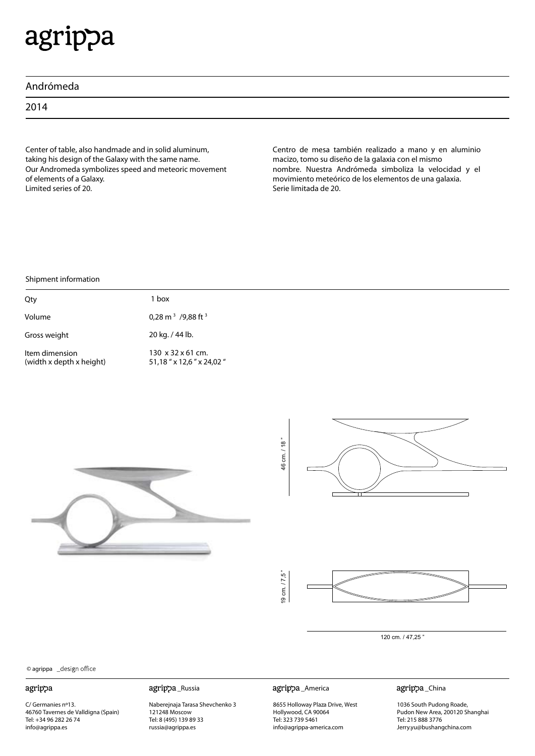# agrippa

|  | Andrómeda |
|--|-----------|
|  |           |

2014

Center of table, also handmade and in solid aluminum, taking his design of the Galaxy with the same name. Our Andromeda symbolizes speed and meteoric movement of elements of a Galaxy. Limited series of 20.

Centro de mesa también realizado a mano y en aluminio macizo, tomo su diseño de la galaxia con el mismo nombre. Nuestra Andrómeda simboliza la velocidad y el movimiento meteórico de los elementos de una galaxia. Serie limitada de 20.

#### Shipment information

| Qty                                        | l box                                                    |
|--------------------------------------------|----------------------------------------------------------|
| Volume                                     | 0,28 m <sup>3</sup> /9,88 ft <sup>3</sup>                |
| Gross weight                               | 20 kg. / 44 lb.                                          |
| Item dimension<br>(width x depth x height) | $130 \times 32 \times 61$ cm.<br>51,18" x 12,6" x 24,02" |







120 cm. / 47,25 "

© agrippa \_design office

#### agrippa

C/ Germanies nº13. 46760 Tavernes de Valldigna (Spain) Tel: +34 96 282 26 74 info@agrippa.es

Naberejnaja Tarasa Shevchenko 3 121248 Moscow Tel: 8 (495) 139 89 33 russia@agrippa.es

\_Russia \_America

8655 Holloway Plaza Drive, West Hollywood, CA 90064 Tel: 323 739 5461 info@agrippa-america.com

agrippa\_China

1036 South Pudong Roade, Pudon New Area, 200120 Shanghai Tel: 215 888 3776 Jerry.yu@bushangchina.com